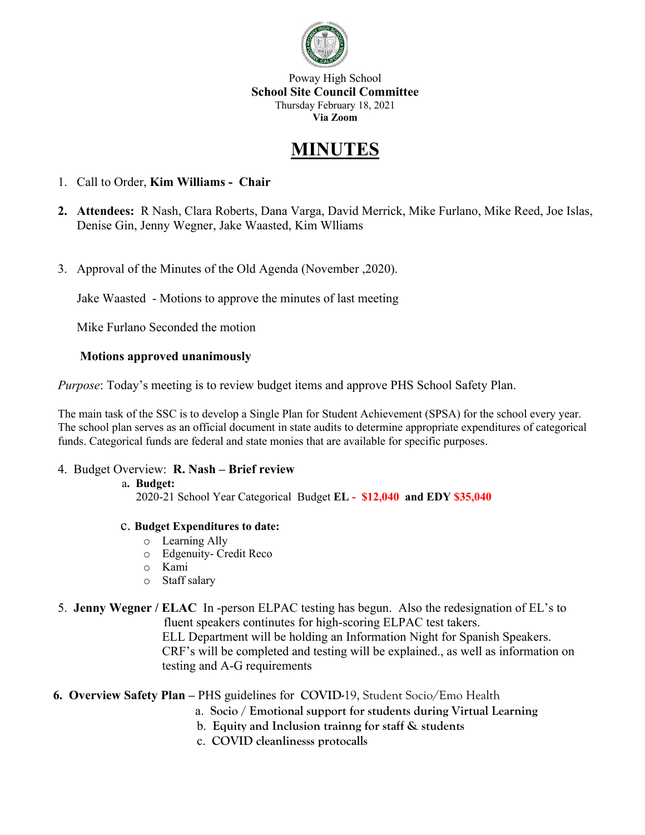

Poway High School **School Site Council Committee** Thursday February 18, 2021 **Via Zoom**

# **MINUTES**

- 1. Call to Order, **Kim Williams Chair**
- **2. Attendees:** R Nash, Clara Roberts, Dana Varga, David Merrick, Mike Furlano, Mike Reed, Joe Islas, Denise Gin, Jenny Wegner, Jake Waasted, Kim Wlliams
- 3. Approval of the Minutes of the Old Agenda (November ,2020).

Jake Waasted - Motions to approve the minutes of last meeting

Mike Furlano Seconded the motion

## **Motions approved unanimously**

*Purpose*: Today's meeting is to review budget items and approve PHS School Safety Plan.

The main task of the SSC is to develop a Single Plan for Student Achievement (SPSA) for the school every year. The school plan serves as an official document in state audits to determine appropriate expenditures of categorical funds. Categorical funds are federal and state monies that are available for specific purposes.

### 4. Budget Overview: **R. Nash – Brief review**

### a**. Budget:**

2020-21 School Year Categorical Budget **EL - \$12,040 and EDY \$35,040**

### c. **Budget Expenditures to date:**

- o Learning Ally
- o Edgenuity- Credit Reco
- o Kami
- o Staff salary

# 5. **Jenny Wegner / ELAC** In -person ELPAC testing has begun. Also the redesignation of EL's to

fluent speakers continutes for high-scoring ELPAC test takers. ELL Department will be holding an Information Night for Spanish Speakers. CRF's will be completed and testing will be explained., as well as information on testing and A-G requirements

### **6. Overview Safety Plan –** PHS guidelines for **COVID-**19, Student Socio/Emo Health

- a. **Socio / Emotional support for students during Virtual Learning**
- b. **Equity and Inclusion trainng for staff & students**
- c. **COVID cleanlinesss protocalls**